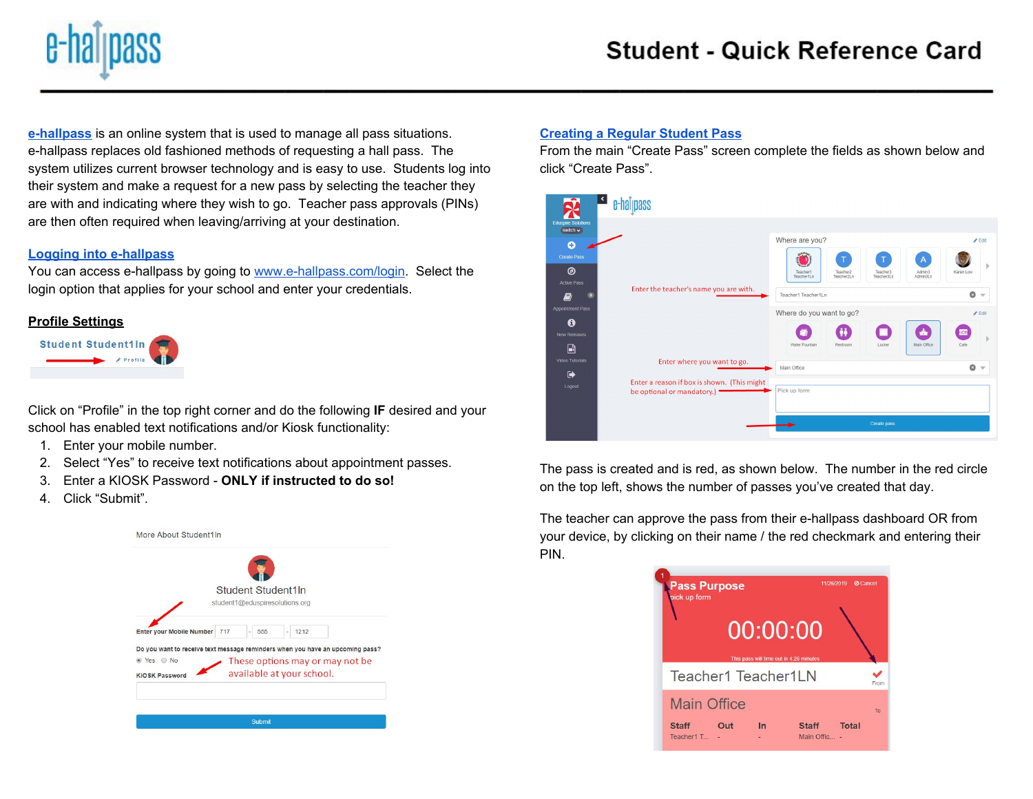

**[e-hallpass](https://youtu.be/YgyaWWrnILM)** is an online system that is used to manage all pass situations. e-hallpass replaces old fashioned methods of requesting a hall pass. The system utilizes current browser technology and is easy to use. Students log into their system and make a request for a new pass by selecting the teacher they are with and indicating where they wish to go. Teacher pass approvals (PINs) are then often required when leaving/arriving at your destination.

# **Logging into [e-hallpass](https://youtu.be/pZe1NLWOer4)**

You can access e-hallpass by going to [www.e-hallpass.com/login](http://www.e-hallpass.com/login). Select the login option that applies for your school and enter your credentials.

# **Profile Settings**



Click on "Profile" in the top right corner and do the following **IF** desired and your school has enabled text notifications and/or Kiosk functionality:

- 1. Enter your mobile number.
- 2. Select "Yes" to receive text notifications about appointment passes.
- 3. Enter a KIOSK Password **ONLY if instructed to do so!**
- 4. Click "Submit".



#### **[Creating](https://youtu.be/Jc6DgcSqzEM) a Regular Student Pass**

From the main "Create Pass" screen complete the fields as shown below and click "Create Pass".



The pass is created and is red, as shown below. The number in the red circle on the top left, shows the number of passes you've created that day.

The teacher can approve the pass from their e-hallpass dashboard OR from your device, by clicking on their name / the red checkmark and entering their PIN.

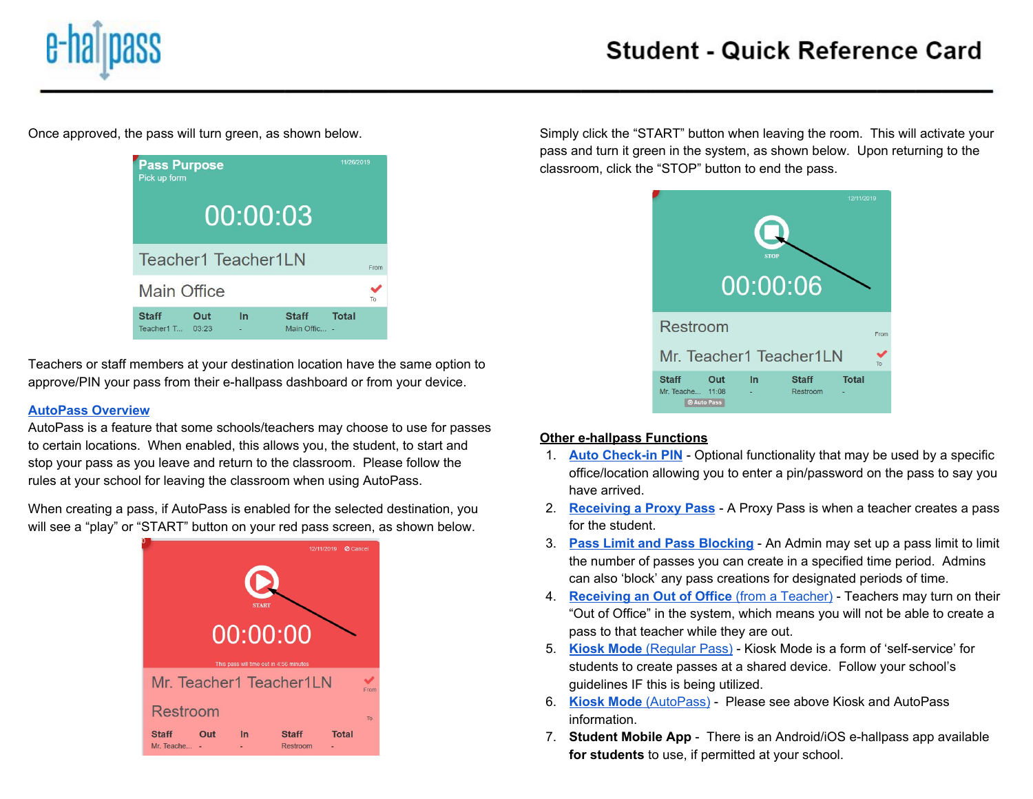

Once approved, the pass will turn green, as shown below.



Teachers or staff members at your destination location have the same option to approve/PIN your pass from their e-hallpass dashboard or from your device.

### **[AutoPass](https://youtu.be/NHs4duxPRPY) Overview**

AutoPass is a feature that some schools/teachers may choose to use for passes to certain locations. When enabled, this allows you, the student, to start and stop your pass as you leave and return to the classroom. Please follow the rules at your school for leaving the classroom when using AutoPass.

When creating a pass, if AutoPass is enabled for the selected destination, you will see a "play" or "START" button on your red pass screen, as shown below.



Simply click the "START" button when leaving the room. This will activate your pass and turn it green in the system, as shown below. Upon returning to the classroom, click the "STOP" button to end the pass.

| 12/11/2019<br><b>STOP</b><br>00:00:06                            |    |                          |              |      |  |  |  |  |  |  |
|------------------------------------------------------------------|----|--------------------------|--------------|------|--|--|--|--|--|--|
| Restroom                                                         |    |                          |              | From |  |  |  |  |  |  |
| Mr. Teacher1 Teacher1LN                                          |    |                          |              |      |  |  |  |  |  |  |
| <b>Staff</b><br>Out<br>Mr. Teache<br>11:08<br><b>O Auto Pass</b> | In | <b>Staff</b><br>Restroom | <b>Total</b> |      |  |  |  |  |  |  |

# **Other e-hallpass Functions**

- 1. **Auto [Check-in](https://youtu.be/wzfKetpbeDg) PIN** Optional functionality that may be used by a specific office/location allowing you to enter a pin/password on the pass to say you have arrived.
- 2. **[Receiving](https://youtu.be/5fSuAPX-gMk) a Proxy Pass** A Proxy Pass is when a teacher creates a pass for the student.
- 3. **Pass Limit and Pass [Blocking](https://youtu.be/eS2W9vFg2WE)** An Admin may set up a pass limit to limit the number of passes you can create in a specified time period. Admins can also 'block' any pass creations for designated periods of time.
- 4. **[Receiving](https://youtu.be/o9ORSDjgF0I) an Out of Office** (from a [Teacher\)](https://youtu.be/o9ORSDjgF0I) Teachers may turn on their "Out of Office" in the system, which means you will not be able to create a pass to that teacher while they are out.
- 5. **[Kiosk](https://youtu.be/eFthHd6-FDk) Mode** [\(Regular](https://youtu.be/eFthHd6-FDk) Pass) Kiosk Mode is a form of 'self-service' for students to create passes at a shared device. Follow your school's guidelines IF this is being utilized.
- 6. **[Kiosk](https://youtu.be/y85vAbamhbw) Mode** [\(AutoPass\)](https://youtu.be/y85vAbamhbw) Please see above Kiosk and AutoPass information.
- 7. **Student Mobile App** There is an Android/iOS e-hallpass app available **for students** to use, if permitted at your school.